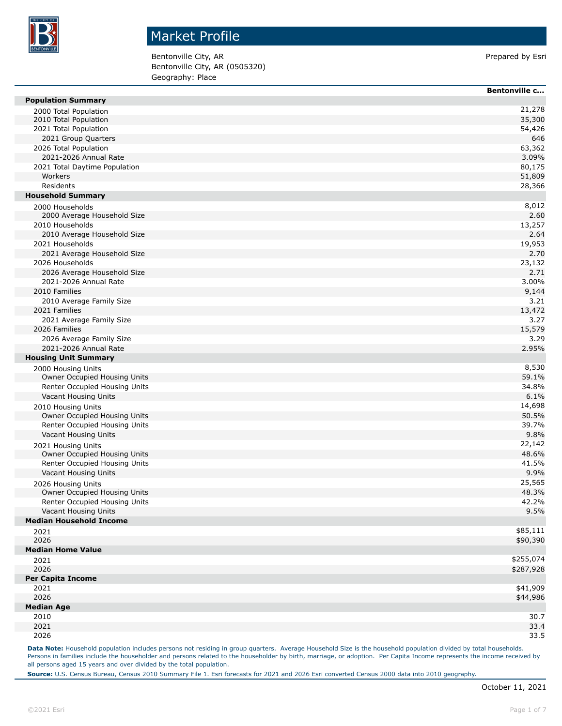

Bentonville City, AR Prepared by Esri Bentonville City, AR (0505320) Geography: Place

|                                | <b>Bentonville c</b> |
|--------------------------------|----------------------|
| <b>Population Summary</b>      |                      |
| 2000 Total Population          | 21,278               |
| 2010 Total Population          | 35,300               |
| 2021 Total Population          | 54,426               |
| 2021 Group Quarters            | 646                  |
| 2026 Total Population          | 63,362               |
| 2021-2026 Annual Rate          | 3.09%                |
| 2021 Total Daytime Population  | 80,175               |
| Workers                        | 51,809               |
| Residents                      | 28,366               |
| <b>Household Summary</b>       |                      |
| 2000 Households                | 8,012                |
| 2000 Average Household Size    | 2.60                 |
| 2010 Households                | 13,257               |
| 2010 Average Household Size    | 2.64                 |
| 2021 Households                | 19,953               |
| 2021 Average Household Size    | 2.70                 |
| 2026 Households                | 23,132               |
| 2026 Average Household Size    | 2.71                 |
| 2021-2026 Annual Rate          | 3.00%                |
| 2010 Families                  | 9,144                |
| 2010 Average Family Size       | 3.21                 |
| 2021 Families                  | 13,472               |
| 2021 Average Family Size       | 3.27                 |
| 2026 Families                  | 15,579               |
| 2026 Average Family Size       | 3.29                 |
| 2021-2026 Annual Rate          | 2.95%                |
| <b>Housing Unit Summary</b>    |                      |
| 2000 Housing Units             | 8,530                |
| Owner Occupied Housing Units   | 59.1%                |
| Renter Occupied Housing Units  | 34.8%                |
| Vacant Housing Units           | 6.1%                 |
| 2010 Housing Units             | 14,698               |
| Owner Occupied Housing Units   | 50.5%                |
| Renter Occupied Housing Units  | 39.7%                |
| Vacant Housing Units           | 9.8%                 |
| 2021 Housing Units             | 22,142               |
| Owner Occupied Housing Units   | 48.6%                |
| Renter Occupied Housing Units  | 41.5%                |
| Vacant Housing Units           | 9.9%                 |
| 2026 Housing Units             | 25,565               |
| Owner Occupied Housing Units   | 48.3%                |
| Renter Occupied Housing Units  | 42.2%                |
| Vacant Housing Units           | 9.5%                 |
| <b>Median Household Income</b> |                      |
| 2021                           | \$85,111             |
| 2026                           | \$90,390             |
| <b>Median Home Value</b>       |                      |
| 2021                           | \$255,074            |
| 2026                           | \$287,928            |
| <b>Per Capita Income</b>       |                      |
| 2021                           | \$41,909             |
| 2026                           | \$44,986             |
| <b>Median Age</b>              |                      |
| 2010                           | 30.7                 |
| 2021                           | 33.4                 |
| 2026                           | 33.5                 |

Data Note: Household population includes persons not residing in group quarters. Average Household Size is the household population divided by total households. Persons in families include the householder and persons related to the householder by birth, marriage, or adoption. Per Capita Income represents the income received by all persons aged 15 years and over divided by the total population.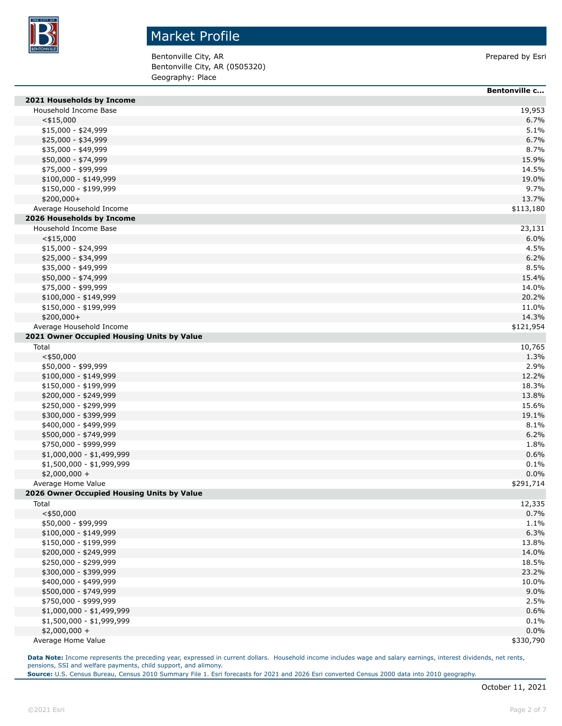

Bentonville City, AR Prepared by Esri Bentonville City, AR (0505320) Geography: Place

|                                            | Bentonville c |
|--------------------------------------------|---------------|
| 2021 Households by Income                  |               |
| Household Income Base                      | 19,953        |
| $<$ \$15,000                               | 6.7%          |
| \$15,000 - \$24,999                        | 5.1%          |
| \$25,000 - \$34,999                        | 6.7%          |
| \$35,000 - \$49,999                        | 8.7%          |
| \$50,000 - \$74,999                        | 15.9%         |
| \$75,000 - \$99,999                        | 14.5%         |
| \$100,000 - \$149,999                      | 19.0%         |
| \$150,000 - \$199,999                      | 9.7%          |
| \$200,000+                                 | 13.7%         |
| Average Household Income                   | \$113,180     |
| 2026 Households by Income                  |               |
| Household Income Base                      | 23,131        |
| $<$ \$15,000                               | 6.0%          |
| \$15,000 - \$24,999                        | 4.5%          |
| \$25,000 - \$34,999                        | 6.2%          |
| \$35,000 - \$49,999                        | 8.5%          |
| \$50,000 - \$74,999                        | 15.4%         |
| \$75,000 - \$99,999                        | 14.0%         |
| $$100,000 - $149,999$                      | 20.2%         |
| \$150,000 - \$199,999                      | 11.0%         |
| \$200,000+                                 | 14.3%         |
| Average Household Income                   | \$121,954     |
| 2021 Owner Occupied Housing Units by Value |               |
| Total                                      | 10,765        |
| $<$ \$50,000                               | 1.3%          |
| \$50,000 - \$99,999                        | 2.9%          |
| \$100,000 - \$149,999                      | 12.2%         |
| \$150,000 - \$199,999                      | 18.3%         |
| \$200,000 - \$249,999                      | 13.8%         |
| \$250,000 - \$299,999                      | 15.6%         |
| \$300,000 - \$399,999                      | 19.1%         |
| \$400,000 - \$499,999                      | 8.1%          |
| \$500,000 - \$749,999                      | 6.2%          |
| \$750,000 - \$999,999                      | 1.8%          |
| \$1,000,000 - \$1,499,999                  | 0.6%          |
| \$1,500,000 - \$1,999,999                  | 0.1%          |
| $$2,000,000 +$                             | 0.0%          |
| Average Home Value                         | \$291,714     |
| 2026 Owner Occupied Housing Units by Value |               |
| Total                                      | 12,335        |
| $<$ \$50,000                               | 0.7%          |
| \$50,000 - \$99,999                        | 1.1%          |
| \$100,000 - \$149,999                      | 6.3%          |
| \$150,000 - \$199,999                      | 13.8%         |
| \$200,000 - \$249,999                      | 14.0%         |
| \$250,000 - \$299,999                      | 18.5%         |
| \$300,000 - \$399,999                      | 23.2%         |
| \$400,000 - \$499,999                      | 10.0%         |
| \$500,000 - \$749,999                      | 9.0%          |
| \$750,000 - \$999,999                      | 2.5%          |
| \$1,000,000 - \$1,499,999                  | 0.6%          |
| \$1,500,000 - \$1,999,999                  | 0.1%          |
| $$2,000,000 +$                             | 0.0%          |
| Average Home Value                         | \$330,790     |

**Data Note:** Income represents the preceding year, expressed in current dollars. Household income includes wage and salary earnings, interest dividends, net rents, pensions, SSI and welfare payments, child support, and alimony.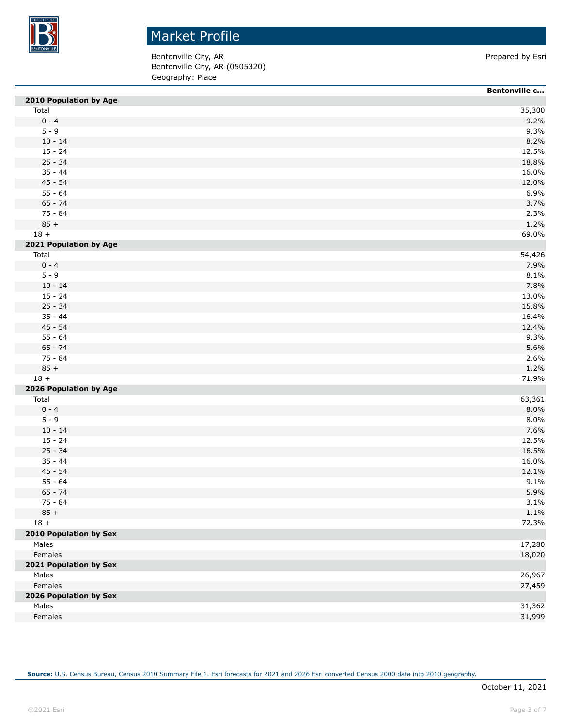

Bentonville City, AR Prepared by Esri Bentonville City, AR (0505320) Geography: Place

|                        | <b>Bentonville c</b> |
|------------------------|----------------------|
| 2010 Population by Age |                      |
| Total                  | 35,300               |
| $0 - 4$                | 9.2%                 |
| $5 - 9$                | 9.3%                 |
| $10 - 14$              | 8.2%                 |
| $15 - 24$              | 12.5%                |
| $25 - 34$              | 18.8%                |
| $35 - 44$              | 16.0%                |
| $45 - 54$              | 12.0%                |
| $55 - 64$              | 6.9%                 |
| $65 - 74$              | 3.7%                 |
| 75 - 84                | 2.3%                 |
| $85 +$                 | 1.2%                 |
| $18 +$                 | 69.0%                |
| 2021 Population by Age |                      |
| Total                  | 54,426               |
| $0 - 4$                | 7.9%                 |
| $5 - 9$                | 8.1%                 |
| $10 - 14$              | 7.8%                 |
| $15 - 24$              | 13.0%                |
| $25 - 34$              | 15.8%                |
| $35 - 44$              | 16.4%                |
| $45 - 54$              | 12.4%                |
| $55 - 64$              | 9.3%                 |
| $65 - 74$              | 5.6%                 |
| 75 - 84                | 2.6%                 |
| $85 +$                 | 1.2%                 |
| $18 +$                 | 71.9%                |
| 2026 Population by Age |                      |
| Total                  | 63,361               |
| $0 - 4$                | 8.0%                 |
| $5 - 9$                | 8.0%                 |
| $10 - 14$              | 7.6%                 |
| $15 - 24$              | 12.5%                |
| $25 - 34$              | 16.5%                |
| $35 - 44$              | 16.0%                |
| $45 - 54$              | 12.1%                |
| $55 - 64$              | 9.1%                 |
| $65 - 74$              | 5.9%                 |
| 75 - 84                | 3.1%                 |
| $85 +$                 | 1.1%                 |
| $18 +$                 | 72.3%                |
| 2010 Population by Sex |                      |
| Males                  | 17,280               |
| Females                | 18,020               |
| 2021 Population by Sex |                      |
| Males                  | 26,967               |
| Females                | 27,459               |
| 2026 Population by Sex |                      |
| Males                  | 31,362               |
| Females                | 31,999               |
|                        |                      |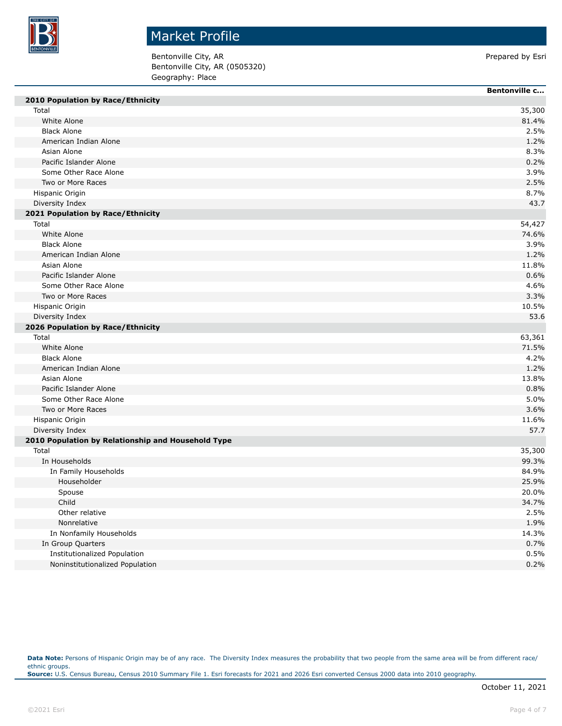

Bentonville City, AR Prepared by Esri Bentonville City, AR (0505320) Geography: Place

|                                                    | Bentonville c |
|----------------------------------------------------|---------------|
| 2010 Population by Race/Ethnicity                  |               |
| Total                                              | 35,300        |
| White Alone                                        | 81.4%         |
| <b>Black Alone</b>                                 | 2.5%          |
| American Indian Alone                              | 1.2%          |
| Asian Alone                                        | 8.3%          |
| Pacific Islander Alone                             | 0.2%          |
| Some Other Race Alone                              | 3.9%          |
| Two or More Races                                  | 2.5%          |
| Hispanic Origin                                    | 8.7%          |
| Diversity Index                                    | 43.7          |
| 2021 Population by Race/Ethnicity                  |               |
| Total                                              | 54,427        |
| White Alone                                        | 74.6%         |
| <b>Black Alone</b>                                 | 3.9%          |
| American Indian Alone                              | 1.2%          |
| Asian Alone                                        | 11.8%         |
| Pacific Islander Alone                             | 0.6%          |
| Some Other Race Alone                              | 4.6%          |
| Two or More Races                                  | 3.3%          |
| Hispanic Origin                                    | 10.5%         |
| Diversity Index                                    | 53.6          |
| 2026 Population by Race/Ethnicity                  |               |
| Total                                              | 63,361        |
| White Alone                                        | 71.5%         |
| <b>Black Alone</b>                                 | 4.2%          |
| American Indian Alone                              | 1.2%          |
| Asian Alone                                        | 13.8%         |
| Pacific Islander Alone                             | 0.8%          |
| Some Other Race Alone                              | 5.0%          |
| Two or More Races                                  | 3.6%          |
| Hispanic Origin                                    | 11.6%         |
| Diversity Index                                    | 57.7          |
| 2010 Population by Relationship and Household Type |               |
| Total                                              | 35,300        |
| In Households                                      | 99.3%         |
| In Family Households                               | 84.9%         |
| Householder                                        | 25.9%         |
| Spouse                                             | 20.0%         |
| Child                                              | 34.7%         |
| Other relative                                     | 2.5%          |
| Nonrelative                                        | 1.9%          |
| In Nonfamily Households                            | 14.3%         |
| In Group Quarters                                  | 0.7%          |
| Institutionalized Population                       | 0.5%          |
| Noninstitutionalized Population                    | 0.2%          |
|                                                    |               |

Data Note: Persons of Hispanic Origin may be of any race. The Diversity Index measures the probability that two people from the same area will be from different race/ ethnic groups. **Source:** U.S. Census Bureau, Census 2010 Summary File 1. Esri forecasts for 2021 and 2026 Esri converted Census 2000 data into 2010 geography.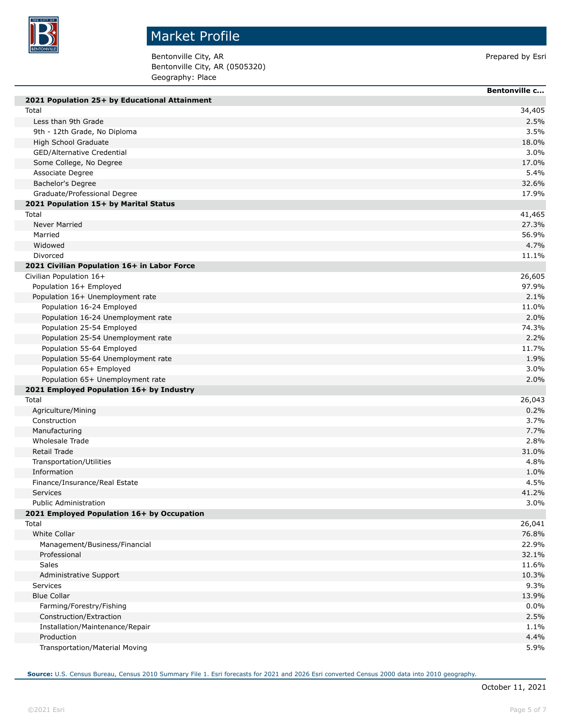

Bentonville City, AR Prepared by Esri Bentonville City, AR (0505320) Geography: Place

| 2021 Population 25+ by Educational Attainment<br>Total<br>34,405<br>2.5%<br>Less than 9th Grade<br>9th - 12th Grade, No Diploma<br>3.5%<br>High School Graduate<br>18.0%<br>GED/Alternative Credential<br>3.0%<br>Some College, No Degree<br>17.0%<br>Associate Degree<br>5.4%<br>Bachelor's Degree<br>32.6%<br>Graduate/Professional Degree<br>17.9%<br>2021 Population 15+ by Marital Status<br>Total<br>41,465<br><b>Never Married</b><br>27.3%<br>Married<br>56.9%<br>4.7%<br>Widowed<br>Divorced<br>11.1%<br>2021 Civilian Population 16+ in Labor Force<br>Civilian Population 16+<br>26,605<br>97.9%<br>Population 16+ Employed<br>Population 16+ Unemployment rate<br>2.1%<br>Population 16-24 Employed<br>11.0%<br>Population 16-24 Unemployment rate<br>2.0%<br>Population 25-54 Employed<br>74.3%<br>2.2%<br>Population 25-54 Unemployment rate<br>Population 55-64 Employed<br>11.7%<br>Population 55-64 Unemployment rate<br>1.9%<br>Population 65+ Employed<br>3.0%<br>Population 65+ Unemployment rate<br>2.0%<br>2021 Employed Population 16+ by Industry<br>Total<br>26,043<br>0.2%<br>Agriculture/Mining<br>3.7%<br>Construction<br>Manufacturing<br>7.7%<br><b>Wholesale Trade</b><br>2.8%<br><b>Retail Trade</b><br>31.0%<br>4.8%<br>Transportation/Utilities<br>Information<br>1.0%<br>Finance/Insurance/Real Estate<br>4.5%<br>41.2%<br><b>Services</b><br><b>Public Administration</b><br>3.0%<br>2021 Employed Population 16+ by Occupation<br>Total<br>26,041<br><b>White Collar</b><br>76.8%<br>22.9%<br>Management/Business/Financial<br>32.1%<br>Professional<br>Sales<br>11.6%<br>10.3%<br>Administrative Support |
|------------------------------------------------------------------------------------------------------------------------------------------------------------------------------------------------------------------------------------------------------------------------------------------------------------------------------------------------------------------------------------------------------------------------------------------------------------------------------------------------------------------------------------------------------------------------------------------------------------------------------------------------------------------------------------------------------------------------------------------------------------------------------------------------------------------------------------------------------------------------------------------------------------------------------------------------------------------------------------------------------------------------------------------------------------------------------------------------------------------------------------------------------------------------------------------------------------------------------------------------------------------------------------------------------------------------------------------------------------------------------------------------------------------------------------------------------------------------------------------------------------------------------------------------------------------------------------------------------------------------------------------------|
|                                                                                                                                                                                                                                                                                                                                                                                                                                                                                                                                                                                                                                                                                                                                                                                                                                                                                                                                                                                                                                                                                                                                                                                                                                                                                                                                                                                                                                                                                                                                                                                                                                                |
|                                                                                                                                                                                                                                                                                                                                                                                                                                                                                                                                                                                                                                                                                                                                                                                                                                                                                                                                                                                                                                                                                                                                                                                                                                                                                                                                                                                                                                                                                                                                                                                                                                                |
|                                                                                                                                                                                                                                                                                                                                                                                                                                                                                                                                                                                                                                                                                                                                                                                                                                                                                                                                                                                                                                                                                                                                                                                                                                                                                                                                                                                                                                                                                                                                                                                                                                                |
|                                                                                                                                                                                                                                                                                                                                                                                                                                                                                                                                                                                                                                                                                                                                                                                                                                                                                                                                                                                                                                                                                                                                                                                                                                                                                                                                                                                                                                                                                                                                                                                                                                                |
|                                                                                                                                                                                                                                                                                                                                                                                                                                                                                                                                                                                                                                                                                                                                                                                                                                                                                                                                                                                                                                                                                                                                                                                                                                                                                                                                                                                                                                                                                                                                                                                                                                                |
|                                                                                                                                                                                                                                                                                                                                                                                                                                                                                                                                                                                                                                                                                                                                                                                                                                                                                                                                                                                                                                                                                                                                                                                                                                                                                                                                                                                                                                                                                                                                                                                                                                                |
|                                                                                                                                                                                                                                                                                                                                                                                                                                                                                                                                                                                                                                                                                                                                                                                                                                                                                                                                                                                                                                                                                                                                                                                                                                                                                                                                                                                                                                                                                                                                                                                                                                                |
|                                                                                                                                                                                                                                                                                                                                                                                                                                                                                                                                                                                                                                                                                                                                                                                                                                                                                                                                                                                                                                                                                                                                                                                                                                                                                                                                                                                                                                                                                                                                                                                                                                                |
|                                                                                                                                                                                                                                                                                                                                                                                                                                                                                                                                                                                                                                                                                                                                                                                                                                                                                                                                                                                                                                                                                                                                                                                                                                                                                                                                                                                                                                                                                                                                                                                                                                                |
|                                                                                                                                                                                                                                                                                                                                                                                                                                                                                                                                                                                                                                                                                                                                                                                                                                                                                                                                                                                                                                                                                                                                                                                                                                                                                                                                                                                                                                                                                                                                                                                                                                                |
|                                                                                                                                                                                                                                                                                                                                                                                                                                                                                                                                                                                                                                                                                                                                                                                                                                                                                                                                                                                                                                                                                                                                                                                                                                                                                                                                                                                                                                                                                                                                                                                                                                                |
|                                                                                                                                                                                                                                                                                                                                                                                                                                                                                                                                                                                                                                                                                                                                                                                                                                                                                                                                                                                                                                                                                                                                                                                                                                                                                                                                                                                                                                                                                                                                                                                                                                                |
|                                                                                                                                                                                                                                                                                                                                                                                                                                                                                                                                                                                                                                                                                                                                                                                                                                                                                                                                                                                                                                                                                                                                                                                                                                                                                                                                                                                                                                                                                                                                                                                                                                                |
|                                                                                                                                                                                                                                                                                                                                                                                                                                                                                                                                                                                                                                                                                                                                                                                                                                                                                                                                                                                                                                                                                                                                                                                                                                                                                                                                                                                                                                                                                                                                                                                                                                                |
|                                                                                                                                                                                                                                                                                                                                                                                                                                                                                                                                                                                                                                                                                                                                                                                                                                                                                                                                                                                                                                                                                                                                                                                                                                                                                                                                                                                                                                                                                                                                                                                                                                                |
|                                                                                                                                                                                                                                                                                                                                                                                                                                                                                                                                                                                                                                                                                                                                                                                                                                                                                                                                                                                                                                                                                                                                                                                                                                                                                                                                                                                                                                                                                                                                                                                                                                                |
|                                                                                                                                                                                                                                                                                                                                                                                                                                                                                                                                                                                                                                                                                                                                                                                                                                                                                                                                                                                                                                                                                                                                                                                                                                                                                                                                                                                                                                                                                                                                                                                                                                                |
|                                                                                                                                                                                                                                                                                                                                                                                                                                                                                                                                                                                                                                                                                                                                                                                                                                                                                                                                                                                                                                                                                                                                                                                                                                                                                                                                                                                                                                                                                                                                                                                                                                                |
|                                                                                                                                                                                                                                                                                                                                                                                                                                                                                                                                                                                                                                                                                                                                                                                                                                                                                                                                                                                                                                                                                                                                                                                                                                                                                                                                                                                                                                                                                                                                                                                                                                                |
|                                                                                                                                                                                                                                                                                                                                                                                                                                                                                                                                                                                                                                                                                                                                                                                                                                                                                                                                                                                                                                                                                                                                                                                                                                                                                                                                                                                                                                                                                                                                                                                                                                                |
|                                                                                                                                                                                                                                                                                                                                                                                                                                                                                                                                                                                                                                                                                                                                                                                                                                                                                                                                                                                                                                                                                                                                                                                                                                                                                                                                                                                                                                                                                                                                                                                                                                                |
|                                                                                                                                                                                                                                                                                                                                                                                                                                                                                                                                                                                                                                                                                                                                                                                                                                                                                                                                                                                                                                                                                                                                                                                                                                                                                                                                                                                                                                                                                                                                                                                                                                                |
|                                                                                                                                                                                                                                                                                                                                                                                                                                                                                                                                                                                                                                                                                                                                                                                                                                                                                                                                                                                                                                                                                                                                                                                                                                                                                                                                                                                                                                                                                                                                                                                                                                                |
|                                                                                                                                                                                                                                                                                                                                                                                                                                                                                                                                                                                                                                                                                                                                                                                                                                                                                                                                                                                                                                                                                                                                                                                                                                                                                                                                                                                                                                                                                                                                                                                                                                                |
|                                                                                                                                                                                                                                                                                                                                                                                                                                                                                                                                                                                                                                                                                                                                                                                                                                                                                                                                                                                                                                                                                                                                                                                                                                                                                                                                                                                                                                                                                                                                                                                                                                                |
|                                                                                                                                                                                                                                                                                                                                                                                                                                                                                                                                                                                                                                                                                                                                                                                                                                                                                                                                                                                                                                                                                                                                                                                                                                                                                                                                                                                                                                                                                                                                                                                                                                                |
|                                                                                                                                                                                                                                                                                                                                                                                                                                                                                                                                                                                                                                                                                                                                                                                                                                                                                                                                                                                                                                                                                                                                                                                                                                                                                                                                                                                                                                                                                                                                                                                                                                                |
|                                                                                                                                                                                                                                                                                                                                                                                                                                                                                                                                                                                                                                                                                                                                                                                                                                                                                                                                                                                                                                                                                                                                                                                                                                                                                                                                                                                                                                                                                                                                                                                                                                                |
|                                                                                                                                                                                                                                                                                                                                                                                                                                                                                                                                                                                                                                                                                                                                                                                                                                                                                                                                                                                                                                                                                                                                                                                                                                                                                                                                                                                                                                                                                                                                                                                                                                                |
|                                                                                                                                                                                                                                                                                                                                                                                                                                                                                                                                                                                                                                                                                                                                                                                                                                                                                                                                                                                                                                                                                                                                                                                                                                                                                                                                                                                                                                                                                                                                                                                                                                                |
|                                                                                                                                                                                                                                                                                                                                                                                                                                                                                                                                                                                                                                                                                                                                                                                                                                                                                                                                                                                                                                                                                                                                                                                                                                                                                                                                                                                                                                                                                                                                                                                                                                                |
|                                                                                                                                                                                                                                                                                                                                                                                                                                                                                                                                                                                                                                                                                                                                                                                                                                                                                                                                                                                                                                                                                                                                                                                                                                                                                                                                                                                                                                                                                                                                                                                                                                                |
|                                                                                                                                                                                                                                                                                                                                                                                                                                                                                                                                                                                                                                                                                                                                                                                                                                                                                                                                                                                                                                                                                                                                                                                                                                                                                                                                                                                                                                                                                                                                                                                                                                                |
|                                                                                                                                                                                                                                                                                                                                                                                                                                                                                                                                                                                                                                                                                                                                                                                                                                                                                                                                                                                                                                                                                                                                                                                                                                                                                                                                                                                                                                                                                                                                                                                                                                                |
|                                                                                                                                                                                                                                                                                                                                                                                                                                                                                                                                                                                                                                                                                                                                                                                                                                                                                                                                                                                                                                                                                                                                                                                                                                                                                                                                                                                                                                                                                                                                                                                                                                                |
|                                                                                                                                                                                                                                                                                                                                                                                                                                                                                                                                                                                                                                                                                                                                                                                                                                                                                                                                                                                                                                                                                                                                                                                                                                                                                                                                                                                                                                                                                                                                                                                                                                                |
|                                                                                                                                                                                                                                                                                                                                                                                                                                                                                                                                                                                                                                                                                                                                                                                                                                                                                                                                                                                                                                                                                                                                                                                                                                                                                                                                                                                                                                                                                                                                                                                                                                                |
|                                                                                                                                                                                                                                                                                                                                                                                                                                                                                                                                                                                                                                                                                                                                                                                                                                                                                                                                                                                                                                                                                                                                                                                                                                                                                                                                                                                                                                                                                                                                                                                                                                                |
|                                                                                                                                                                                                                                                                                                                                                                                                                                                                                                                                                                                                                                                                                                                                                                                                                                                                                                                                                                                                                                                                                                                                                                                                                                                                                                                                                                                                                                                                                                                                                                                                                                                |
|                                                                                                                                                                                                                                                                                                                                                                                                                                                                                                                                                                                                                                                                                                                                                                                                                                                                                                                                                                                                                                                                                                                                                                                                                                                                                                                                                                                                                                                                                                                                                                                                                                                |
|                                                                                                                                                                                                                                                                                                                                                                                                                                                                                                                                                                                                                                                                                                                                                                                                                                                                                                                                                                                                                                                                                                                                                                                                                                                                                                                                                                                                                                                                                                                                                                                                                                                |
|                                                                                                                                                                                                                                                                                                                                                                                                                                                                                                                                                                                                                                                                                                                                                                                                                                                                                                                                                                                                                                                                                                                                                                                                                                                                                                                                                                                                                                                                                                                                                                                                                                                |
|                                                                                                                                                                                                                                                                                                                                                                                                                                                                                                                                                                                                                                                                                                                                                                                                                                                                                                                                                                                                                                                                                                                                                                                                                                                                                                                                                                                                                                                                                                                                                                                                                                                |
|                                                                                                                                                                                                                                                                                                                                                                                                                                                                                                                                                                                                                                                                                                                                                                                                                                                                                                                                                                                                                                                                                                                                                                                                                                                                                                                                                                                                                                                                                                                                                                                                                                                |
|                                                                                                                                                                                                                                                                                                                                                                                                                                                                                                                                                                                                                                                                                                                                                                                                                                                                                                                                                                                                                                                                                                                                                                                                                                                                                                                                                                                                                                                                                                                                                                                                                                                |
|                                                                                                                                                                                                                                                                                                                                                                                                                                                                                                                                                                                                                                                                                                                                                                                                                                                                                                                                                                                                                                                                                                                                                                                                                                                                                                                                                                                                                                                                                                                                                                                                                                                |
|                                                                                                                                                                                                                                                                                                                                                                                                                                                                                                                                                                                                                                                                                                                                                                                                                                                                                                                                                                                                                                                                                                                                                                                                                                                                                                                                                                                                                                                                                                                                                                                                                                                |
| <b>Services</b><br>9.3%                                                                                                                                                                                                                                                                                                                                                                                                                                                                                                                                                                                                                                                                                                                                                                                                                                                                                                                                                                                                                                                                                                                                                                                                                                                                                                                                                                                                                                                                                                                                                                                                                        |
| <b>Blue Collar</b><br>13.9%                                                                                                                                                                                                                                                                                                                                                                                                                                                                                                                                                                                                                                                                                                                                                                                                                                                                                                                                                                                                                                                                                                                                                                                                                                                                                                                                                                                                                                                                                                                                                                                                                    |
| Farming/Forestry/Fishing<br>0.0%                                                                                                                                                                                                                                                                                                                                                                                                                                                                                                                                                                                                                                                                                                                                                                                                                                                                                                                                                                                                                                                                                                                                                                                                                                                                                                                                                                                                                                                                                                                                                                                                               |
| 2.5%<br>Construction/Extraction                                                                                                                                                                                                                                                                                                                                                                                                                                                                                                                                                                                                                                                                                                                                                                                                                                                                                                                                                                                                                                                                                                                                                                                                                                                                                                                                                                                                                                                                                                                                                                                                                |
| Installation/Maintenance/Repair<br>1.1%                                                                                                                                                                                                                                                                                                                                                                                                                                                                                                                                                                                                                                                                                                                                                                                                                                                                                                                                                                                                                                                                                                                                                                                                                                                                                                                                                                                                                                                                                                                                                                                                        |
| 4.4%<br>Production                                                                                                                                                                                                                                                                                                                                                                                                                                                                                                                                                                                                                                                                                                                                                                                                                                                                                                                                                                                                                                                                                                                                                                                                                                                                                                                                                                                                                                                                                                                                                                                                                             |
| 5.9%<br>Transportation/Material Moving                                                                                                                                                                                                                                                                                                                                                                                                                                                                                                                                                                                                                                                                                                                                                                                                                                                                                                                                                                                                                                                                                                                                                                                                                                                                                                                                                                                                                                                                                                                                                                                                         |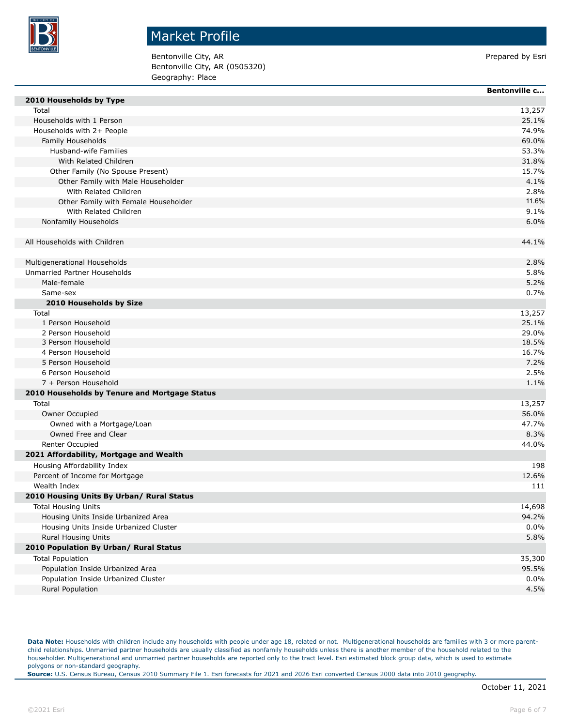

Bentonville City, AR **Prepared by Esri** Prepared by Esri Bentonville City, AR (0505320) Geography: Place

|                                               | Bentonville c |
|-----------------------------------------------|---------------|
| 2010 Households by Type                       |               |
| Total                                         | 13,257        |
| Households with 1 Person                      | 25.1%         |
| Households with 2+ People                     | 74.9%         |
| Family Households                             | 69.0%         |
| Husband-wife Families                         | 53.3%         |
| With Related Children                         | 31.8%         |
| Other Family (No Spouse Present)              | 15.7%         |
| Other Family with Male Householder            | 4.1%          |
| With Related Children                         | 2.8%          |
| Other Family with Female Householder          | 11.6%         |
| With Related Children                         | 9.1%          |
| Nonfamily Households                          | 6.0%          |
| All Households with Children                  | 44.1%         |
|                                               |               |
| Multigenerational Households                  | 2.8%          |
| Unmarried Partner Households                  | 5.8%          |
| Male-female                                   | 5.2%          |
| Same-sex                                      | 0.7%          |
| 2010 Households by Size                       |               |
| Total                                         | 13,257        |
| 1 Person Household                            | 25.1%         |
| 2 Person Household                            | 29.0%         |
| 3 Person Household                            | 18.5%         |
| 4 Person Household                            | 16.7%         |
| 5 Person Household                            | 7.2%          |
| 6 Person Household                            | 2.5%          |
| 7 + Person Household                          | 1.1%          |
| 2010 Households by Tenure and Mortgage Status |               |
| Total                                         | 13,257        |
| Owner Occupied                                | 56.0%         |
| Owned with a Mortgage/Loan                    | 47.7%         |
| Owned Free and Clear                          | 8.3%          |
| <b>Renter Occupied</b>                        | 44.0%         |
| 2021 Affordability, Mortgage and Wealth       |               |
| Housing Affordability Index                   | 198           |
| Percent of Income for Mortgage                | 12.6%         |
| Wealth Index                                  | 111           |
| 2010 Housing Units By Urban/ Rural Status     |               |
| <b>Total Housing Units</b>                    | 14,698        |
| Housing Units Inside Urbanized Area           | 94.2%         |
| Housing Units Inside Urbanized Cluster        | 0.0%          |
| Rural Housing Units                           | 5.8%          |
| 2010 Population By Urban/ Rural Status        |               |
| <b>Total Population</b>                       | 35,300        |
| Population Inside Urbanized Area              | 95.5%         |
| Population Inside Urbanized Cluster           | 0.0%          |
| Rural Population                              | 4.5%          |

Data Note: Households with children include any households with people under age 18, related or not. Multigenerational households are families with 3 or more parentchild relationships. Unmarried partner households are usually classified as nonfamily households unless there is another member of the household related to the householder. Multigenerational and unmarried partner households are reported only to the tract level. Esri estimated block group data, which is used to estimate polygons or non-standard geography.